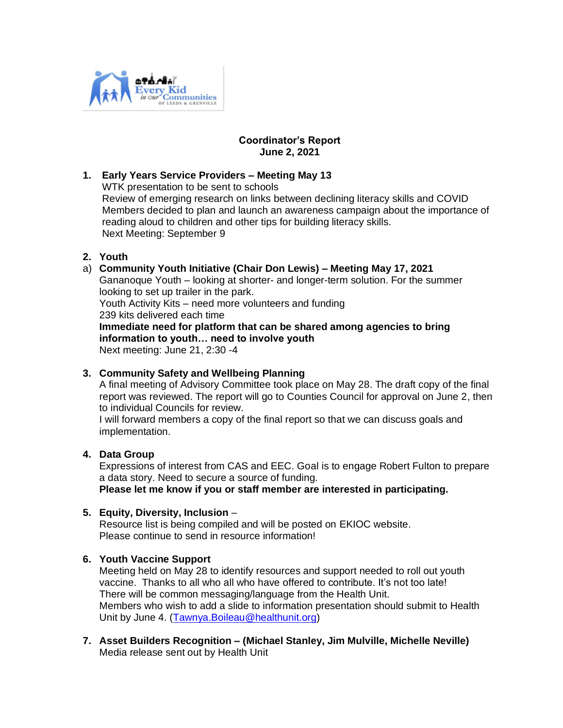

## **Coordinator's Report June 2, 2021**

#### **1. Early Years Service Providers – Meeting May 13** WTK presentation to be sent to schools Review of emerging research on links between declining literacy skills and COVID Members decided to plan and launch an awareness campaign about the importance of reading aloud to children and other tips for building literacy skills. Next Meeting: September 9

# **2. Youth**

## a) **Community Youth Initiative (Chair Don Lewis) – Meeting May 17, 2021**

Gananoque Youth – looking at shorter- and longer-term solution. For the summer looking to set up trailer in the park.

Youth Activity Kits – need more volunteers and funding 239 kits delivered each time

**Immediate need for platform that can be shared among agencies to bring information to youth… need to involve youth**

Next meeting: June 21, 2:30 -4

### **3. Community Safety and Wellbeing Planning**

A final meeting of Advisory Committee took place on May 28. The draft copy of the final report was reviewed. The report will go to Counties Council for approval on June 2, then to individual Councils for review.

I will forward members a copy of the final report so that we can discuss goals and implementation.

### **4. Data Group**

Expressions of interest from CAS and EEC. Goal is to engage Robert Fulton to prepare a data story. Need to secure a source of funding.

**Please let me know if you or staff member are interested in participating.**

### **5. Equity, Diversity, Inclusion** –

Resource list is being compiled and will be posted on EKIOC website. Please continue to send in resource information!

### **6. Youth Vaccine Support**

Meeting held on May 28 to identify resources and support needed to roll out youth vaccine. Thanks to all who all who have offered to contribute. It's not too late! There will be common messaging/language from the Health Unit. Members who wish to add a slide to information presentation should submit to Health Unit by June 4. [\(Tawnya.Boileau@healthunit.org\)](mailto:Tawnya.Boileau@healthunit.org)

**7. Asset Builders Recognition – (Michael Stanley, Jim Mulville, Michelle Neville)** Media release sent out by Health Unit